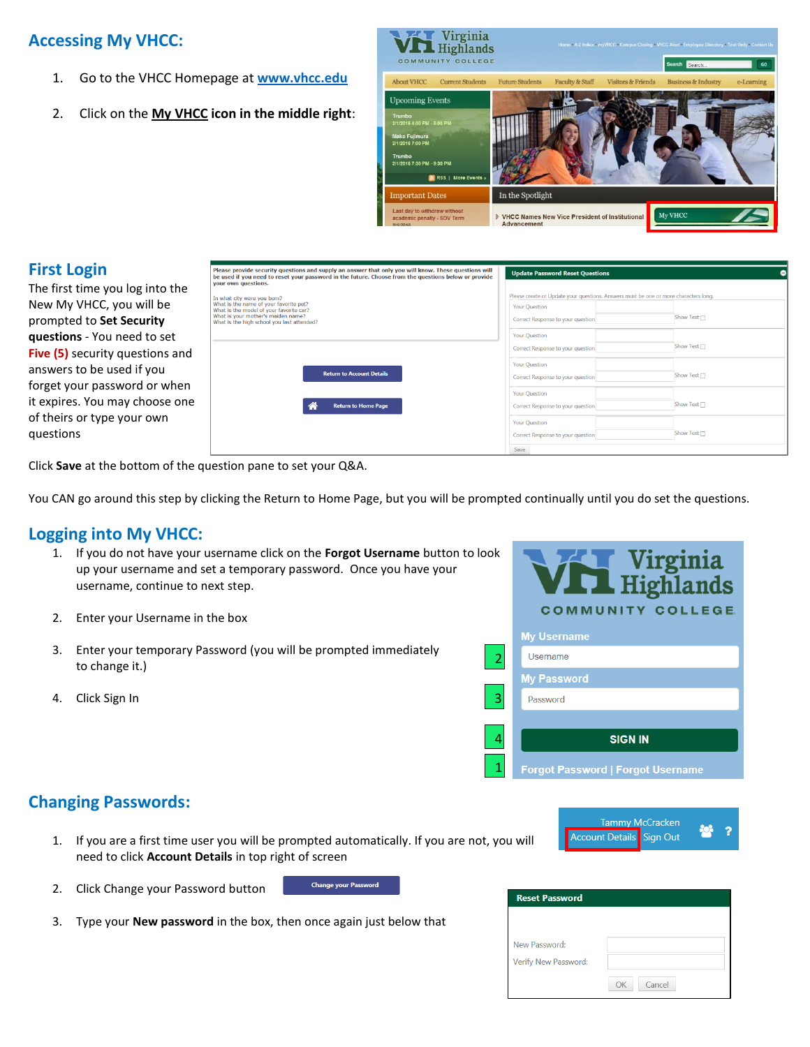## **Accessing My VHCC:**

- 1. Go to the VHCC Homepage at **[www.vhcc.edu](http://www.vhcc.edu/)**
- 2. Click on the **My VHCC icon in the middle right**:



## **First Login**

The first time you log into the New My VHCC, you will be prompted to **Set Security questions** - You need to set **Five (5)** security questions and answers to be used if you forget your password or when it expires. You may choose one of theirs or type your own questions

| Please provide security questions and supply an answer that only you will know. These questions will<br>be used if you need to reset your password in the future. Choose from the questions below or provide<br>your own questions. | <b>Update Password Reset Questions</b>                                               |                  | Θ |
|-------------------------------------------------------------------------------------------------------------------------------------------------------------------------------------------------------------------------------------|--------------------------------------------------------------------------------------|------------------|---|
| In what city were you born?                                                                                                                                                                                                         | Please create or Update your questions. Answers must be one or more characters long. |                  |   |
| What is the name of your favorite pet?<br>What is the model of your favorite car?                                                                                                                                                   | <b>Your Question</b>                                                                 |                  |   |
| What is your mother's maiden name?<br>What is the high school you last attended?                                                                                                                                                    | Correct Response to your question                                                    | Show Text $\Box$ |   |
|                                                                                                                                                                                                                                     | <b>Your Question</b>                                                                 |                  |   |
|                                                                                                                                                                                                                                     | Correct Response to your question                                                    | Show Text □      |   |
|                                                                                                                                                                                                                                     | Your Question                                                                        |                  |   |
| <b>Return to Account Details</b>                                                                                                                                                                                                    | Correct Response to your question                                                    | Show Text $\Box$ |   |
|                                                                                                                                                                                                                                     | <b>Your Ouestion</b>                                                                 |                  |   |
| <b>Return to Home Page</b>                                                                                                                                                                                                          | Correct Response to your question                                                    | Show Text □      |   |
|                                                                                                                                                                                                                                     | <b>Your Question</b>                                                                 |                  |   |
|                                                                                                                                                                                                                                     | Correct Response to your question                                                    | Show Text        |   |
|                                                                                                                                                                                                                                     | Save                                                                                 |                  |   |

Click **Save** at the bottom of the question pane to set your Q&A.

You CAN go around this step by clicking the Return to Home Page, but you will be prompted continually until you do set the questions.

## **Logging into My VHCC:**

- 1. If you do not have your username click on the **Forgot Username** button to look up your username and set a temporary password. Once you have your username, continue to next step.
- 2. Enter your Username in the box
- 3. Enter your temporary Password (you will be prompted immediately to change it.)
- 4. Click Sign In



## **Changing Passwords:**

- 1. If you are a first time user you will be prompted automatically. If you are not, you will need to click **Account Details** in top right of screen
- 2. Click Change your Password button

**Change your Password** 

3. Type your **New password** in the box, then once again just below that

| <b>Reset Password</b> |              |
|-----------------------|--------------|
|                       |              |
|                       |              |
| New Password:         |              |
| Verify New Password:  |              |
|                       | Cancel<br>OK |

Tammy McCracken ccount Details Sign Out